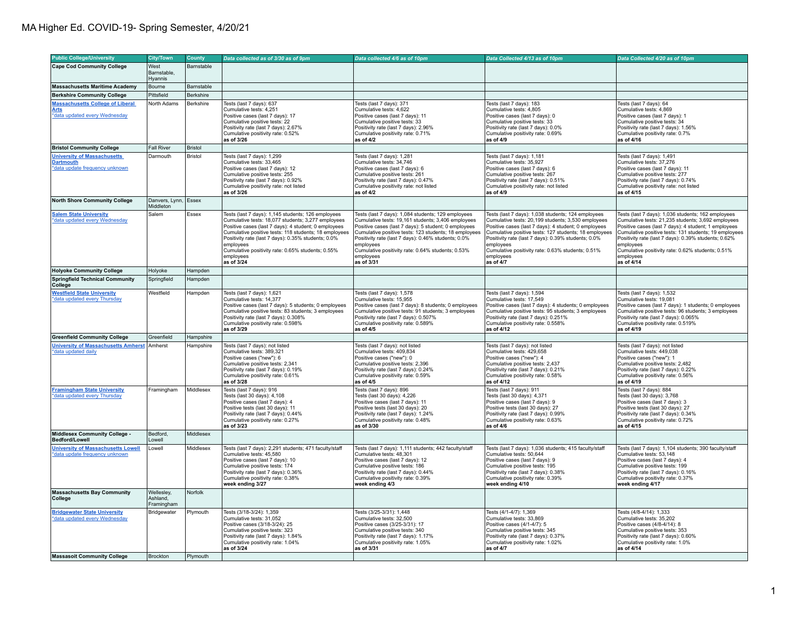| <b>Public College/University</b>                                                                           | <b>City/Town</b>                     | County               | Data collected as of 3/30 as of 9pm                                                                                                                                                                                                                                                                                                                                           | Data collected 4/6 as of 10pm                                                                                                                                                                                                                                                                                                                                                 | Data Collected 4/13 as of 10pm                                                                                                                                                                                                                                                                                                                                               | Data Collected 4/20 as of 10pm                                                                                                                                                                                                                                                                                                                                                 |
|------------------------------------------------------------------------------------------------------------|--------------------------------------|----------------------|-------------------------------------------------------------------------------------------------------------------------------------------------------------------------------------------------------------------------------------------------------------------------------------------------------------------------------------------------------------------------------|-------------------------------------------------------------------------------------------------------------------------------------------------------------------------------------------------------------------------------------------------------------------------------------------------------------------------------------------------------------------------------|------------------------------------------------------------------------------------------------------------------------------------------------------------------------------------------------------------------------------------------------------------------------------------------------------------------------------------------------------------------------------|--------------------------------------------------------------------------------------------------------------------------------------------------------------------------------------------------------------------------------------------------------------------------------------------------------------------------------------------------------------------------------|
|                                                                                                            |                                      |                      |                                                                                                                                                                                                                                                                                                                                                                               |                                                                                                                                                                                                                                                                                                                                                                               |                                                                                                                                                                                                                                                                                                                                                                              |                                                                                                                                                                                                                                                                                                                                                                                |
| <b>Cape Cod Community College</b>                                                                          | West<br>Barnstable,<br>Hvannis       | Barnstable           |                                                                                                                                                                                                                                                                                                                                                                               |                                                                                                                                                                                                                                                                                                                                                                               |                                                                                                                                                                                                                                                                                                                                                                              |                                                                                                                                                                                                                                                                                                                                                                                |
| <b>Massachusetts Maritime Academy</b>                                                                      | Bourne                               | Barnstable           |                                                                                                                                                                                                                                                                                                                                                                               |                                                                                                                                                                                                                                                                                                                                                                               |                                                                                                                                                                                                                                                                                                                                                                              |                                                                                                                                                                                                                                                                                                                                                                                |
| <b>Berkshire Community College</b>                                                                         | Pittsfield                           | Berkshire            |                                                                                                                                                                                                                                                                                                                                                                               |                                                                                                                                                                                                                                                                                                                                                                               |                                                                                                                                                                                                                                                                                                                                                                              |                                                                                                                                                                                                                                                                                                                                                                                |
| <b>Massachusetts College of Liberal</b><br><u>Arts</u><br>*data updated every Wednesday                    | North Adams                          | Berkshire            | Tests (last 7 days): 637<br>Cumulative tests: 4.251<br>Positive cases (last 7 days): 17<br>Cumulative positive tests: 22<br>Positivity rate (last 7 days): 2.67%<br>Cumulative positivity rate: 0.52%<br>as of 3/26                                                                                                                                                           | Tests (last 7 days): 371<br>Cumulative tests: 4.622<br>Positive cases (last 7 days): 11<br>Cumulative positive tests: 33<br>Positivity rate (last 7 days): 2.96%<br>Cumulative positivity rate: 0.71%<br>as of 4/2                                                                                                                                                            | Tests (last 7 days): 183<br>Cumulative tests: 4.805<br>Positive cases (last 7 days): 0<br>Cumulative positive tests: 33<br>Positivity rate (last 7 days): 0.0%<br>Cumulative positivity rate: 0.69%<br>as of 4/9                                                                                                                                                             | Tests (last 7 days): 64<br>Cumulative tests: 4,869<br>Positive cases (last 7 days): 1<br>Cumulative positive tests: 34<br>Positivity rate (last 7 days): 1.56%<br>Cumulative positivity rate: 0.7%<br>as of 4/16                                                                                                                                                               |
| <b>Bristol Community College</b>                                                                           | <b>Fall River</b>                    | <b>Bristol</b>       |                                                                                                                                                                                                                                                                                                                                                                               |                                                                                                                                                                                                                                                                                                                                                                               |                                                                                                                                                                                                                                                                                                                                                                              |                                                                                                                                                                                                                                                                                                                                                                                |
| <b>University of Massachusetts</b><br><b>Dartmouth</b><br>*data update frequency unknown                   | Darmouth                             | Bristol              | Tests (last 7 days): 1,299<br>Cumulative tests: 33,465<br>Positive cases (last 7 days): 12<br>Cumulative positive tests: 255<br>Positivity rate (last 7 days): 0.92%<br>Cumulative positivity rate: not listed<br>as of 3/26                                                                                                                                                  | Tests (last 7 days): 1,281<br>Cumulative tests: 34,746<br>Positive cases (last 7 days): 6<br>Cumulative positive tests: 261<br>Positivity rate (last 7 days): 0.47%<br>Cumulative positivity rate: not listed<br>as of 4/2                                                                                                                                                    | Tests (last 7 days): 1,181<br>Cumulative tests: 35,927<br>Positive cases (last 7 days): 6<br>Cumulative positive tests: 267<br>Positivity rate (last 7 days): 0.51%<br>Cumulative positivity rate: not listed<br>as of 4/9                                                                                                                                                   | Tests (last 7 days): 1,491<br>Cumulative tests: 37,276<br>Positive cases (last 7 days): 11<br>Cumulative positive tests: 277<br>Positivity rate (last 7 days): 0.74%<br>Cumulative positivity rate: not listed<br>as of 4/15                                                                                                                                                   |
| <b>North Shore Community College</b>                                                                       | Danvers, Lynn, Essex<br>Middleton    |                      |                                                                                                                                                                                                                                                                                                                                                                               |                                                                                                                                                                                                                                                                                                                                                                               |                                                                                                                                                                                                                                                                                                                                                                              |                                                                                                                                                                                                                                                                                                                                                                                |
| <b>Salem State University</b><br>*data updated every Wednesday                                             | Salem                                | Essex                | Tests (last 7 days): 1,145 students; 126 employees<br>Cumulative tests: 18,077 students; 3,277 employees<br>Positive cases (last 7 days): 4 student; 0 employees<br>Cumulative positive tests: 118 students; 18 employees<br>Positivity rate (last 7 days): 0.35% students; 0.0%<br>employees<br>Cumulative positivity rate: 0.65% students; 0.55%<br>employees<br>as of 3/24 | Tests (last 7 days): 1,084 students; 129 employees<br>Cumulative tests: 19,161 students; 3,406 employees<br>Positive cases (last 7 days): 5 student; 0 employees<br>Cumulative positive tests: 123 students; 18 employees<br>Positivity rate (last 7 days): 0.46% students; 0.0%<br>employees<br>Cumulative positivity rate: 0.64% students; 0.53%<br>employees<br>as of 3/31 | Tests (last 7 days): 1.038 students: 124 employees<br>Cumulative tests: 20,199 students; 3,530 employees<br>Positive cases (last 7 days): 4 student; 0 employees<br>Cumulative positive tests: 127 students; 18 employees<br>Positivity rate (last 7 days): 0.39% students; 0.0%<br>employees<br>Cumulative positivity rate: 0.63% students; 0.51%<br>employees<br>as of 4/7 | Tests (last 7 days): 1,036 students; 162 employees<br>Cumulative tests: 21,235 students; 3,692 employees<br>Positive cases (last 7 days): 4 student; 1 employees<br>Cumulative positive tests: 131 students; 19 employees<br>Positivity rate (last 7 days): 0.39% students; 0.62%<br>employees<br>Cumulative positivity rate: 0.62% students; 0.51%<br>employees<br>as of 4/14 |
| <b>Holyoke Community College</b>                                                                           | Holyoke                              | Hampden              |                                                                                                                                                                                                                                                                                                                                                                               |                                                                                                                                                                                                                                                                                                                                                                               |                                                                                                                                                                                                                                                                                                                                                                              |                                                                                                                                                                                                                                                                                                                                                                                |
| <b>Springfield Technical Community</b><br>College                                                          | Springfield                          | Hampden              |                                                                                                                                                                                                                                                                                                                                                                               |                                                                                                                                                                                                                                                                                                                                                                               |                                                                                                                                                                                                                                                                                                                                                                              |                                                                                                                                                                                                                                                                                                                                                                                |
| <b>Westfield State University</b><br>*data updated every Thursday                                          | Westfield                            | Hampden              | Tests (last 7 days): 1,621<br>Cumulative tests: 14,377<br>Positive cases (last 7 days): 5 students; 0 employees<br>Cumulative positive tests: 83 students; 3 employees<br>Positivity rate (last 7 days): 0.308%<br>Cumulative positivity rate: 0.598%<br>as of 3/29                                                                                                           | Tests (last 7 days): 1,578<br>Cumulative tests: 15,955<br>Positive cases (last 7 days): 8 students; 0 employees<br>Cumulative positive tests: 91 students; 3 employees<br>Positivity rate (last 7 days): 0.507%<br>Cumulative positivity rate: 0.589%<br>as of 4/5                                                                                                            | Tests (last 7 days): 1,594<br>Cumulative tests: 17,549<br>Positive cases (last 7 days): 4 students; 0 employees<br>Cumulative positive tests: 95 students; 3 employees<br>Positivity rate (last 7 days): 0.251%<br>Cumulative positivity rate: 0.558%<br>as of 4/12                                                                                                          | Tests (last 7 days): 1,532<br>Cumulative tests: 19,081<br>Positive cases (last 7 days): 1 students; 0 employees<br>Cumulative positive tests: 96 students; 3 employees<br>Positivity rate (last 7 days): 0.065%<br>Cumulative positivity rate: 0.519%<br>as of 4/19                                                                                                            |
| <b>Greenfield Community College</b>                                                                        | Greenfield                           | Hampshire            |                                                                                                                                                                                                                                                                                                                                                                               |                                                                                                                                                                                                                                                                                                                                                                               |                                                                                                                                                                                                                                                                                                                                                                              |                                                                                                                                                                                                                                                                                                                                                                                |
| University of Massachusetts Amherst Amherst<br>*data updated daily                                         |                                      | Hampshire            | Tests (last 7 days): not listed<br>Cumulative tests: 389,321<br>Positive cases ("new"): 6<br>Cumulative positive tests: 2,341<br>Positivity rate (last 7 days): 0.19%<br>Cumulative positivity rate: 0.61%<br>as of 3/28                                                                                                                                                      | Tests (last 7 days): not listed<br>Cumulative tests: 409,834<br>Positive cases ("new"): 0<br>Cumulative positive tests: 2,396<br>Positivity rate (last 7 days): 0.24%<br>Cumulative positivity rate: 0.59%<br>as of 4/5                                                                                                                                                       | Tests (last 7 days): not listed<br>Cumulative tests: 429,658<br>Positive cases ("new"): 4<br>Cumulative positive tests: 2,437<br>Positivity rate (last 7 days): 0.21%<br>Cumulative positivity rate: 0.58%<br>as of 4/12                                                                                                                                                     | Tests (last 7 days): not listed<br>Cumulative tests: 449,038<br>Positive cases ("new"): 1<br>Cumulative positive tests: 2,482<br>Positivity rate (last 7 days): 0.22%<br>Cumulative positivity rate: 0.56%<br>as of 4/19                                                                                                                                                       |
| <b>Framingham State University</b><br>*data updated every Thursday                                         | Framingham                           | Middlesex            | Tests (last 7 days): 916<br>Tests (last 30 days): 4,108<br>Positive cases (last 7 days): 4<br>Positive tests (last 30 days): 11<br>Positivity rate (last 7 days): 0.44%<br>Cumulative positivity rate: 0.27%<br>as of 3/23                                                                                                                                                    | Tests (last 7 days): 896<br>Tests (last 30 days): 4,226<br>Positive cases (last 7 days): 11<br>Positive tests (last 30 days): 20<br>Positivity rate (last 7 days): 1.24%<br>Cumulative positivity rate: 0.48%<br>as of 3/30                                                                                                                                                   | Tests (last 7 days): 911<br>Tests (last 30 days): 4,371<br>Positive cases (last 7 days): 9<br>Positive tests (last 30 days): 27<br>Positivity rate (last 7 days): 0.99%<br>Cumulative positivity rate: 0.63%<br>as of 4/6                                                                                                                                                    | Tests (last 7 days): 884<br>Tests (last 30 days): 3,768<br>Positive cases (last 7 days): 3<br>Positive tests (last 30 days): 27<br>Positivity rate (last 7 days): 0.34%<br>Cumulative positivity rate: 0.72%<br>as of 4/15                                                                                                                                                     |
| Middlesex Community College -<br>Bedford/Lowell                                                            | Bedford.<br>Lowell                   | Middlesex            |                                                                                                                                                                                                                                                                                                                                                                               |                                                                                                                                                                                                                                                                                                                                                                               |                                                                                                                                                                                                                                                                                                                                                                              |                                                                                                                                                                                                                                                                                                                                                                                |
| <b>University of Massachusetts Lowell</b><br>data update frequency unknown                                 | Lowell                               | Middlesex            | Tests (last 7 days): 2,291 students; 471 faculty/staff<br>Cumulative tests: 45,580<br>Positive cases (last 7 days): 10<br>Cumulative positive tests: 174<br>Positivity rate (last 7 days): 0.36%<br>Cumulative positivity rate: 0.38%<br>week ending 3/27                                                                                                                     | Tests (last 7 days): 1,111 students; 442 faculty/staff<br>Cumulative tests: 48,301<br>Positive cases (last 7 days): 12<br>Cumulative positive tests: 186<br>Positivity rate (last 7 days): 0.44%<br>Cumulative positivity rate: 0.39%<br>week ending 4/3                                                                                                                      | Tests (last 7 days): 1,036 students; 415 faculty/staff<br>Cumulative tests: 50,644<br>Positive cases (last 7 days): 9<br>Cumulative positive tests: 195<br>Positivity rate (last 7 days): 0.38%<br>Cumulative positivity rate: 0.39%<br>week ending 4/10                                                                                                                     | Tests (last 7 days): 1,104 students; 390 faculty/staff<br>Cumulative tests: 53,148<br>Positive cases (last 7 days): 4<br>Cumulative positive tests: 199<br>Positivity rate (last 7 days): 0.16%<br>Cumulative positivity rate: 0.37%<br>week ending 4/17                                                                                                                       |
| <b>Massachusetts Bay Community</b><br>College                                                              | Wellesley,<br>Ashland,<br>Framingham | Norfolk              |                                                                                                                                                                                                                                                                                                                                                                               |                                                                                                                                                                                                                                                                                                                                                                               |                                                                                                                                                                                                                                                                                                                                                                              |                                                                                                                                                                                                                                                                                                                                                                                |
| <b>Bridgewater State University</b><br>*data updated every Wednesday<br><b>Massasoit Community College</b> | Bridgewater<br>Brockton              | Plymouth<br>Plymouth | Tests (3/18-3/24): 1,359<br>Cumulative tests: 31,052<br>Positive cases (3/18-3/24): 25<br>Cumulative positive tests: 323<br>Positivity rate (last 7 days): 1.84%<br>Cumulative positivity rate: 1.04%<br>as of 3/24                                                                                                                                                           | Tests (3/25-3/31): 1,448<br>Cumulative tests: 32,500<br>Positive cases (3/25-3/31): 17<br>Cumulative positive tests: 340<br>Positivity rate (last 7 days): 1.17%<br>Cumulative positivity rate: 1.05%<br>as of 3/31                                                                                                                                                           | Tests (4/1-4/7): 1.369<br>Cumulative tests: 33,869<br>Positive cases (4/1-4/7): 5<br>Cumulative positive tests: 345<br>Positivity rate (last 7 days): 0.37%<br>Cumulative positivity rate: 1.02%<br>as of 4/7                                                                                                                                                                | Tests (4/8-4/14): 1,333<br>Cumulative tests: 35,202<br>Positive cases (4/8-4/14): 8<br>Cumulative positive tests: 353<br>Positivity rate (last 7 days): 0.60%<br>Cumulative positivity rate: 1.0%<br>as of 4/14                                                                                                                                                                |
|                                                                                                            |                                      |                      |                                                                                                                                                                                                                                                                                                                                                                               |                                                                                                                                                                                                                                                                                                                                                                               |                                                                                                                                                                                                                                                                                                                                                                              |                                                                                                                                                                                                                                                                                                                                                                                |